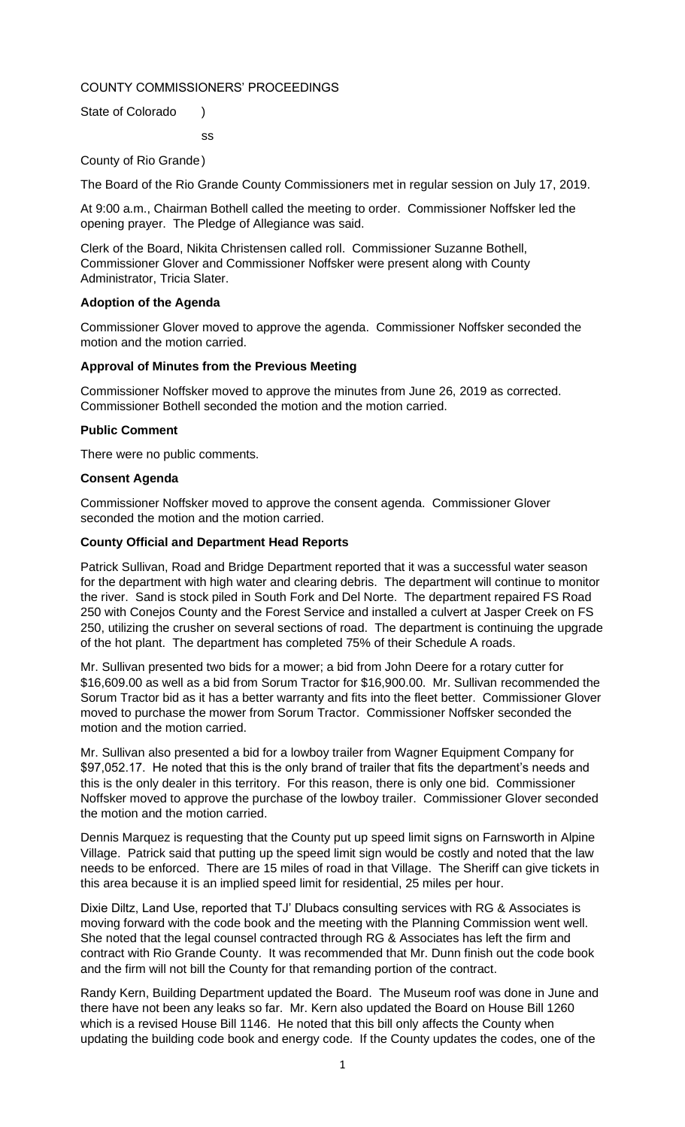## COUNTY COMMISSIONERS' PROCEEDINGS

ss

State of Colorado )

County of Rio Grande)

The Board of the Rio Grande County Commissioners met in regular session on July 17, 2019.

At 9:00 a.m., Chairman Bothell called the meeting to order. Commissioner Noffsker led the opening prayer. The Pledge of Allegiance was said.

Clerk of the Board, Nikita Christensen called roll. Commissioner Suzanne Bothell, Commissioner Glover and Commissioner Noffsker were present along with County Administrator, Tricia Slater.

## **Adoption of the Agenda**

Commissioner Glover moved to approve the agenda. Commissioner Noffsker seconded the motion and the motion carried.

## **Approval of Minutes from the Previous Meeting**

Commissioner Noffsker moved to approve the minutes from June 26, 2019 as corrected. Commissioner Bothell seconded the motion and the motion carried.

## **Public Comment**

There were no public comments.

## **Consent Agenda**

Commissioner Noffsker moved to approve the consent agenda. Commissioner Glover seconded the motion and the motion carried.

## **County Official and Department Head Reports**

Patrick Sullivan, Road and Bridge Department reported that it was a successful water season for the department with high water and clearing debris. The department will continue to monitor the river. Sand is stock piled in South Fork and Del Norte. The department repaired FS Road 250 with Conejos County and the Forest Service and installed a culvert at Jasper Creek on FS 250, utilizing the crusher on several sections of road. The department is continuing the upgrade of the hot plant. The department has completed 75% of their Schedule A roads.

Mr. Sullivan presented two bids for a mower; a bid from John Deere for a rotary cutter for \$16,609.00 as well as a bid from Sorum Tractor for \$16,900.00. Mr. Sullivan recommended the Sorum Tractor bid as it has a better warranty and fits into the fleet better. Commissioner Glover moved to purchase the mower from Sorum Tractor. Commissioner Noffsker seconded the motion and the motion carried.

Mr. Sullivan also presented a bid for a lowboy trailer from Wagner Equipment Company for \$97,052.17. He noted that this is the only brand of trailer that fits the department's needs and this is the only dealer in this territory. For this reason, there is only one bid. Commissioner Noffsker moved to approve the purchase of the lowboy trailer. Commissioner Glover seconded the motion and the motion carried.

Dennis Marquez is requesting that the County put up speed limit signs on Farnsworth in Alpine Village. Patrick said that putting up the speed limit sign would be costly and noted that the law needs to be enforced. There are 15 miles of road in that Village. The Sheriff can give tickets in this area because it is an implied speed limit for residential, 25 miles per hour.

Dixie Diltz, Land Use, reported that TJ' Dlubacs consulting services with RG & Associates is moving forward with the code book and the meeting with the Planning Commission went well. She noted that the legal counsel contracted through RG & Associates has left the firm and contract with Rio Grande County. It was recommended that Mr. Dunn finish out the code book and the firm will not bill the County for that remanding portion of the contract.

Randy Kern, Building Department updated the Board. The Museum roof was done in June and there have not been any leaks so far. Mr. Kern also updated the Board on House Bill 1260 which is a revised House Bill 1146. He noted that this bill only affects the County when updating the building code book and energy code. If the County updates the codes, one of the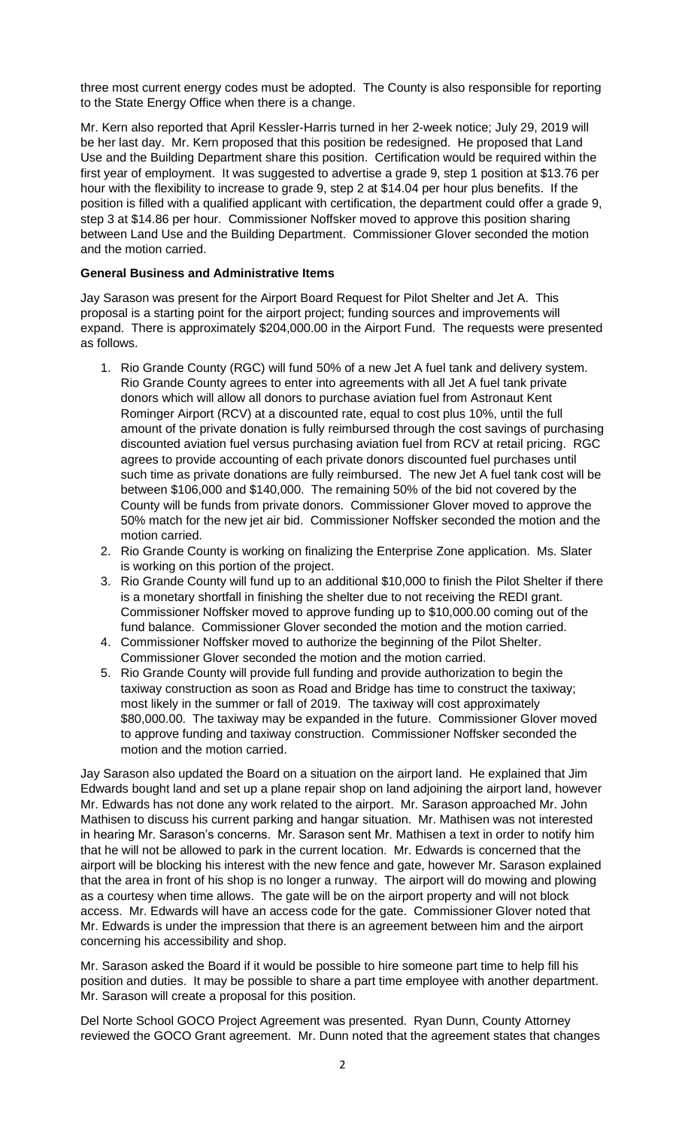three most current energy codes must be adopted. The County is also responsible for reporting to the State Energy Office when there is a change.

Mr. Kern also reported that April Kessler-Harris turned in her 2-week notice; July 29, 2019 will be her last day. Mr. Kern proposed that this position be redesigned. He proposed that Land Use and the Building Department share this position. Certification would be required within the first year of employment. It was suggested to advertise a grade 9, step 1 position at \$13.76 per hour with the flexibility to increase to grade 9, step 2 at \$14.04 per hour plus benefits. If the position is filled with a qualified applicant with certification, the department could offer a grade 9, step 3 at \$14.86 per hour. Commissioner Noffsker moved to approve this position sharing between Land Use and the Building Department. Commissioner Glover seconded the motion and the motion carried.

## **General Business and Administrative Items**

Jay Sarason was present for the Airport Board Request for Pilot Shelter and Jet A. This proposal is a starting point for the airport project; funding sources and improvements will expand. There is approximately \$204,000.00 in the Airport Fund. The requests were presented as follows.

- 1. Rio Grande County (RGC) will fund 50% of a new Jet A fuel tank and delivery system. Rio Grande County agrees to enter into agreements with all Jet A fuel tank private donors which will allow all donors to purchase aviation fuel from Astronaut Kent Rominger Airport (RCV) at a discounted rate, equal to cost plus 10%, until the full amount of the private donation is fully reimbursed through the cost savings of purchasing discounted aviation fuel versus purchasing aviation fuel from RCV at retail pricing. RGC agrees to provide accounting of each private donors discounted fuel purchases until such time as private donations are fully reimbursed. The new Jet A fuel tank cost will be between \$106,000 and \$140,000. The remaining 50% of the bid not covered by the County will be funds from private donors. Commissioner Glover moved to approve the 50% match for the new jet air bid. Commissioner Noffsker seconded the motion and the motion carried.
- 2. Rio Grande County is working on finalizing the Enterprise Zone application. Ms. Slater is working on this portion of the project.
- 3. Rio Grande County will fund up to an additional \$10,000 to finish the Pilot Shelter if there is a monetary shortfall in finishing the shelter due to not receiving the REDI grant. Commissioner Noffsker moved to approve funding up to \$10,000.00 coming out of the fund balance. Commissioner Glover seconded the motion and the motion carried.
- 4. Commissioner Noffsker moved to authorize the beginning of the Pilot Shelter. Commissioner Glover seconded the motion and the motion carried.
- 5. Rio Grande County will provide full funding and provide authorization to begin the taxiway construction as soon as Road and Bridge has time to construct the taxiway; most likely in the summer or fall of 2019. The taxiway will cost approximately \$80,000.00. The taxiway may be expanded in the future. Commissioner Glover moved to approve funding and taxiway construction. Commissioner Noffsker seconded the motion and the motion carried.

Jay Sarason also updated the Board on a situation on the airport land. He explained that Jim Edwards bought land and set up a plane repair shop on land adjoining the airport land, however Mr. Edwards has not done any work related to the airport. Mr. Sarason approached Mr. John Mathisen to discuss his current parking and hangar situation. Mr. Mathisen was not interested in hearing Mr. Sarason's concerns. Mr. Sarason sent Mr. Mathisen a text in order to notify him that he will not be allowed to park in the current location. Mr. Edwards is concerned that the airport will be blocking his interest with the new fence and gate, however Mr. Sarason explained that the area in front of his shop is no longer a runway. The airport will do mowing and plowing as a courtesy when time allows. The gate will be on the airport property and will not block access. Mr. Edwards will have an access code for the gate. Commissioner Glover noted that Mr. Edwards is under the impression that there is an agreement between him and the airport concerning his accessibility and shop.

Mr. Sarason asked the Board if it would be possible to hire someone part time to help fill his position and duties. It may be possible to share a part time employee with another department. Mr. Sarason will create a proposal for this position.

Del Norte School GOCO Project Agreement was presented. Ryan Dunn, County Attorney reviewed the GOCO Grant agreement. Mr. Dunn noted that the agreement states that changes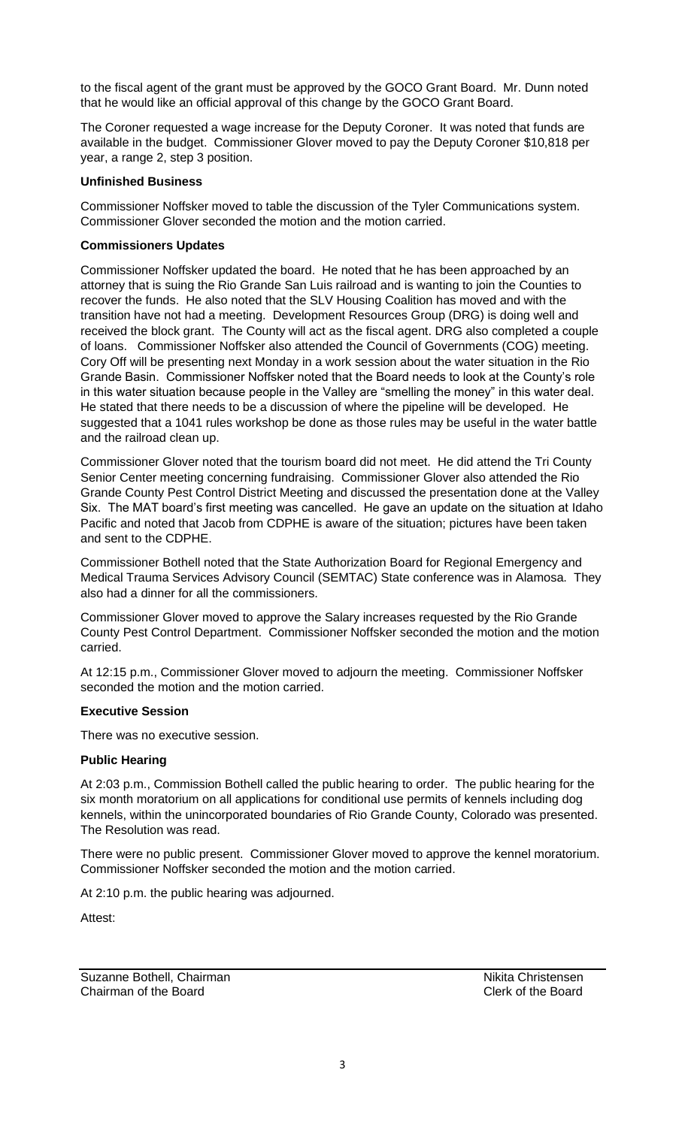to the fiscal agent of the grant must be approved by the GOCO Grant Board. Mr. Dunn noted that he would like an official approval of this change by the GOCO Grant Board.

The Coroner requested a wage increase for the Deputy Coroner. It was noted that funds are available in the budget. Commissioner Glover moved to pay the Deputy Coroner \$10,818 per year, a range 2, step 3 position.

## **Unfinished Business**

Commissioner Noffsker moved to table the discussion of the Tyler Communications system. Commissioner Glover seconded the motion and the motion carried.

## **Commissioners Updates**

Commissioner Noffsker updated the board. He noted that he has been approached by an attorney that is suing the Rio Grande San Luis railroad and is wanting to join the Counties to recover the funds. He also noted that the SLV Housing Coalition has moved and with the transition have not had a meeting. Development Resources Group (DRG) is doing well and received the block grant. The County will act as the fiscal agent. DRG also completed a couple of loans. Commissioner Noffsker also attended the Council of Governments (COG) meeting. Cory Off will be presenting next Monday in a work session about the water situation in the Rio Grande Basin. Commissioner Noffsker noted that the Board needs to look at the County's role in this water situation because people in the Valley are "smelling the money" in this water deal. He stated that there needs to be a discussion of where the pipeline will be developed. He suggested that a 1041 rules workshop be done as those rules may be useful in the water battle and the railroad clean up.

Commissioner Glover noted that the tourism board did not meet. He did attend the Tri County Senior Center meeting concerning fundraising. Commissioner Glover also attended the Rio Grande County Pest Control District Meeting and discussed the presentation done at the Valley Six. The MAT board's first meeting was cancelled. He gave an update on the situation at Idaho Pacific and noted that Jacob from CDPHE is aware of the situation; pictures have been taken and sent to the CDPHE.

Commissioner Bothell noted that the State Authorization Board for Regional Emergency and Medical Trauma Services Advisory Council (SEMTAC) State conference was in Alamosa. They also had a dinner for all the commissioners.

Commissioner Glover moved to approve the Salary increases requested by the Rio Grande County Pest Control Department. Commissioner Noffsker seconded the motion and the motion carried.

At 12:15 p.m., Commissioner Glover moved to adjourn the meeting. Commissioner Noffsker seconded the motion and the motion carried.

## **Executive Session**

There was no executive session.

# **Public Hearing**

At 2:03 p.m., Commission Bothell called the public hearing to order. The public hearing for the six month moratorium on all applications for conditional use permits of kennels including dog kennels, within the unincorporated boundaries of Rio Grande County, Colorado was presented. The Resolution was read.

There were no public present. Commissioner Glover moved to approve the kennel moratorium. Commissioner Noffsker seconded the motion and the motion carried.

At 2:10 p.m. the public hearing was adjourned.

Attest:

Suzanne Bothell, Chairman Nikita Christensen<br>
Chairman of the Board<br>
Clerk of the Board Chairman of the Board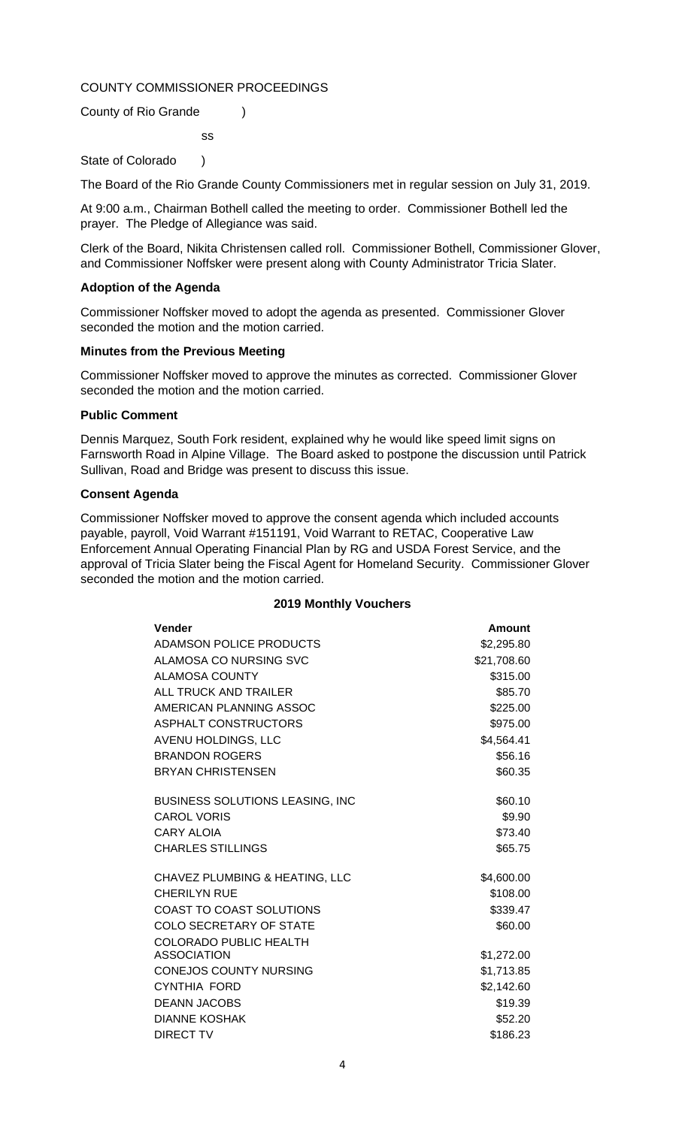## COUNTY COMMISSIONER PROCEEDINGS

ss

County of Rio Grande )

State of Colorado )

The Board of the Rio Grande County Commissioners met in regular session on July 31, 2019.

At 9:00 a.m., Chairman Bothell called the meeting to order. Commissioner Bothell led the prayer. The Pledge of Allegiance was said.

Clerk of the Board, Nikita Christensen called roll. Commissioner Bothell, Commissioner Glover, and Commissioner Noffsker were present along with County Administrator Tricia Slater.

## **Adoption of the Agenda**

Commissioner Noffsker moved to adopt the agenda as presented. Commissioner Glover seconded the motion and the motion carried.

#### **Minutes from the Previous Meeting**

Commissioner Noffsker moved to approve the minutes as corrected. Commissioner Glover seconded the motion and the motion carried.

## **Public Comment**

Dennis Marquez, South Fork resident, explained why he would like speed limit signs on Farnsworth Road in Alpine Village. The Board asked to postpone the discussion until Patrick Sullivan, Road and Bridge was present to discuss this issue.

## **Consent Agenda**

Commissioner Noffsker moved to approve the consent agenda which included accounts payable, payroll, Void Warrant #151191, Void Warrant to RETAC, Cooperative Law Enforcement Annual Operating Financial Plan by RG and USDA Forest Service, and the approval of Tricia Slater being the Fiscal Agent for Homeland Security. Commissioner Glover seconded the motion and the motion carried.

| <b>Vender</b>                           | <b>Amount</b> |
|-----------------------------------------|---------------|
| ADAMSON POLICE PRODUCTS                 | \$2,295.80    |
| ALAMOSA CO NURSING SVC                  | \$21,708.60   |
| <b>ALAMOSA COUNTY</b>                   | \$315.00      |
| ALL TRUCK AND TRAILER                   | \$85.70       |
| AMERICAN PLANNING ASSOC                 | \$225.00      |
| ASPHALT CONSTRUCTORS                    | \$975.00      |
| AVENU HOLDINGS, LLC                     | \$4,564.41    |
| <b>BRANDON ROGERS</b>                   | \$56.16       |
| <b>BRYAN CHRISTENSEN</b>                | \$60.35       |
| <b>BUSINESS SOLUTIONS LEASING, INC.</b> | \$60.10       |
| <b>CAROL VORIS</b>                      | \$9.90        |
| <b>CARY ALOIA</b>                       | \$73.40       |
| <b>CHARLES STILLINGS</b>                | \$65.75       |
| CHAVEZ PLUMBING & HEATING, LLC          | \$4,600.00    |
| <b>CHERILYN RUE</b>                     | \$108.00      |
| <b>COAST TO COAST SOLUTIONS</b>         | \$339.47      |
| <b>COLO SECRETARY OF STATE</b>          | \$60.00       |
| <b>COLORADO PUBLIC HEALTH</b>           |               |
| <b>ASSOCIATION</b>                      | \$1,272.00    |
| <b>CONEJOS COUNTY NURSING</b>           | \$1,713.85    |
| CYNTHIA FORD                            | \$2,142.60    |
| <b>DEANN JACOBS</b>                     | \$19.39       |
| <b>DIANNE KOSHAK</b>                    | \$52.20       |
| <b>DIRECT TV</b>                        | \$186.23      |

#### **2019 Monthly Vouchers**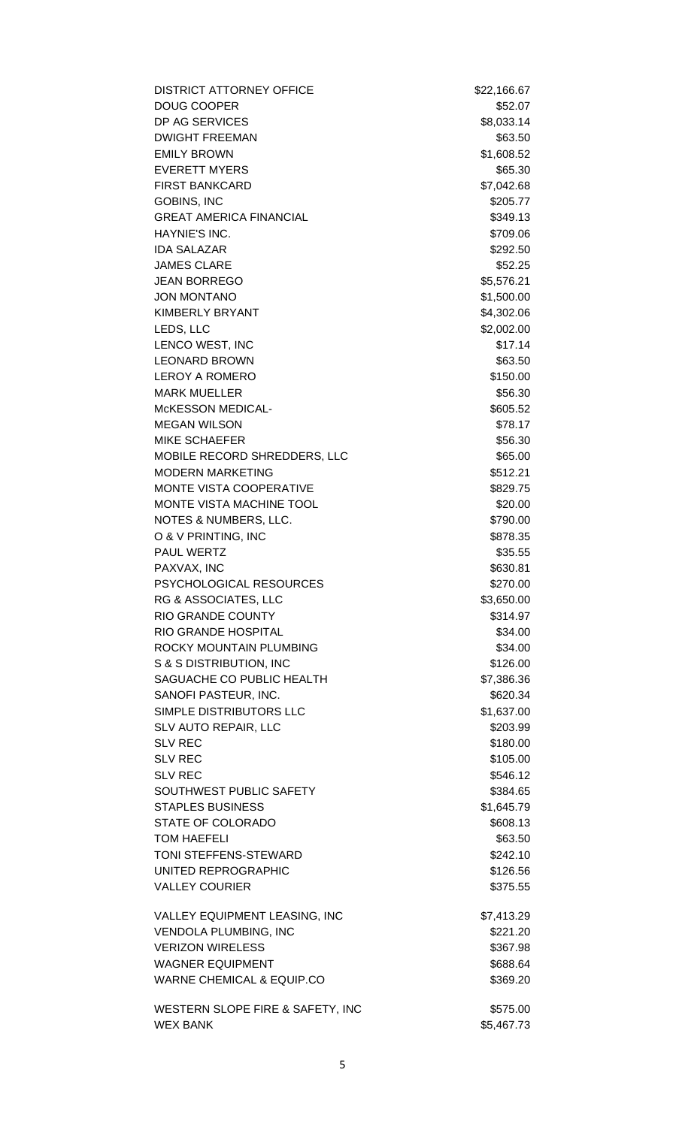| <b>DISTRICT ATTORNEY OFFICE</b>      | \$22,166.67 |
|--------------------------------------|-------------|
| <b>DOUG COOPER</b>                   | \$52.07     |
| DP AG SERVICES                       | \$8,033.14  |
| <b>DWIGHT FREEMAN</b>                | \$63.50     |
| <b>EMILY BROWN</b>                   | \$1,608.52  |
| <b>EVERETT MYERS</b>                 | \$65.30     |
| <b>FIRST BANKCARD</b>                | \$7,042.68  |
| <b>GOBINS, INC</b>                   | \$205.77    |
| <b>GREAT AMERICA FINANCIAL</b>       | \$349.13    |
| HAYNIE'S INC.                        | \$709.06    |
| <b>IDA SALAZAR</b>                   | \$292.50    |
| <b>JAMES CLARE</b>                   | \$52.25     |
| <b>JEAN BORREGO</b>                  | \$5,576.21  |
| <b>JON MONTANO</b>                   | \$1,500.00  |
| <b>KIMBERLY BRYANT</b>               | \$4,302.06  |
| LEDS, LLC                            | \$2,002.00  |
| LENCO WEST, INC                      | \$17.14     |
| <b>LEONARD BROWN</b>                 | \$63.50     |
| <b>LEROY A ROMERO</b>                | \$150.00    |
| <b>MARK MUELLER</b>                  | \$56.30     |
| <b>McKESSON MEDICAL-</b>             | \$605.52    |
| <b>MEGAN WILSON</b>                  | \$78.17     |
| <b>MIKE SCHAEFER</b>                 | \$56.30     |
| MOBILE RECORD SHREDDERS, LLC         | \$65.00     |
| <b>MODERN MARKETING</b>              | \$512.21    |
| MONTE VISTA COOPERATIVE              | \$829.75    |
| MONTE VISTA MACHINE TOOL             | \$20.00     |
| NOTES & NUMBERS, LLC.                | \$790.00    |
| O & V PRINTING, INC                  | \$878.35    |
| <b>PAUL WERTZ</b>                    | \$35.55     |
| PAXVAX, INC                          | \$630.81    |
| PSYCHOLOGICAL RESOURCES              | \$270.00    |
| RG & ASSOCIATES, LLC                 | \$3,650.00  |
| <b>RIO GRANDE COUNTY</b>             | \$314.97    |
| RIO GRANDE HOSPITAL                  | \$34.00     |
| ROCKY MOUNTAIN PLUMBING              | \$34.00     |
| S & S DISTRIBUTION, INC              | \$126.00    |
| SAGUACHE CO PUBLIC HEALTH            | \$7,386.36  |
| SANOFI PASTEUR, INC.                 | \$620.34    |
| SIMPLE DISTRIBUTORS LLC              | \$1,637.00  |
| SLV AUTO REPAIR, LLC                 | \$203.99    |
| <b>SLV REC</b>                       | \$180.00    |
| <b>SLV REC</b>                       | \$105.00    |
| <b>SLV REC</b>                       | \$546.12    |
| SOUTHWEST PUBLIC SAFETY              | \$384.65    |
| <b>STAPLES BUSINESS</b>              |             |
| STATE OF COLORADO                    | \$1,645.79  |
|                                      | \$608.13    |
| <b>TOM HAEFELI</b>                   | \$63.50     |
| TONI STEFFENS-STEWARD                | \$242.10    |
| UNITED REPROGRAPHIC                  | \$126.56    |
| <b>VALLEY COURIER</b>                | \$375.55    |
| VALLEY EQUIPMENT LEASING, INC        | \$7,413.29  |
| <b>VENDOLA PLUMBING, INC</b>         | \$221.20    |
| <b>VERIZON WIRELESS</b>              | \$367.98    |
| <b>WAGNER EQUIPMENT</b>              | \$688.64    |
| <b>WARNE CHEMICAL &amp; EQUIP.CO</b> | \$369.20    |
| WESTERN SLOPE FIRE & SAFETY, INC     | \$575.00    |
| <b>WEX BANK</b>                      | \$5,467.73  |
|                                      |             |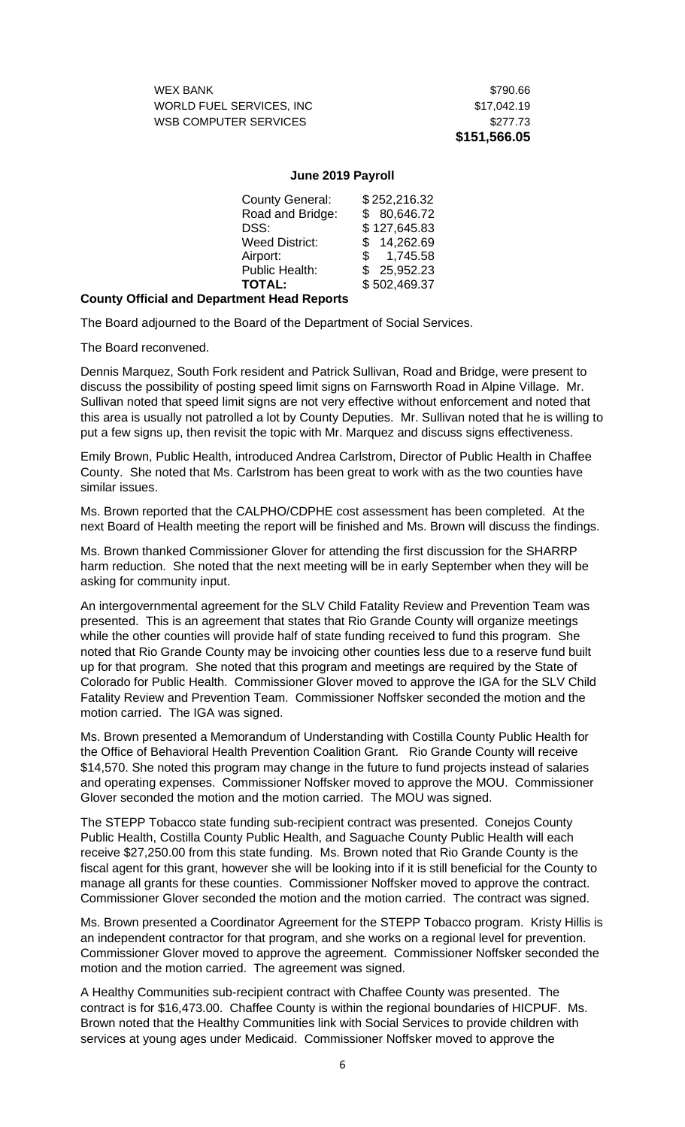WEX BANK \$790.66 WORLD FUEL SERVICES, INC \$17,042.19 WSB COMPUTER SERVICES \$277.73

**\$151,566.05**

## **June 2019 Payroll**

| <b>County General:</b> | \$252,216.32 |
|------------------------|--------------|
| Road and Bridge:       | \$80,646.72  |
| DSS:                   | \$127,645.83 |
| <b>Weed District:</b>  | \$14,262.69  |
| Airport:               | \$1,745.58   |
| <b>Public Health:</b>  | \$25,952.23  |
| <b>TOTAL:</b>          | \$502,469.37 |
|                        |              |

## **County Official and Department Head Reports**

The Board adjourned to the Board of the Department of Social Services.

The Board reconvened.

Dennis Marquez, South Fork resident and Patrick Sullivan, Road and Bridge, were present to discuss the possibility of posting speed limit signs on Farnsworth Road in Alpine Village. Mr. Sullivan noted that speed limit signs are not very effective without enforcement and noted that this area is usually not patrolled a lot by County Deputies. Mr. Sullivan noted that he is willing to put a few signs up, then revisit the topic with Mr. Marquez and discuss signs effectiveness.

Emily Brown, Public Health, introduced Andrea Carlstrom, Director of Public Health in Chaffee County. She noted that Ms. Carlstrom has been great to work with as the two counties have similar issues.

Ms. Brown reported that the CALPHO/CDPHE cost assessment has been completed. At the next Board of Health meeting the report will be finished and Ms. Brown will discuss the findings.

Ms. Brown thanked Commissioner Glover for attending the first discussion for the SHARRP harm reduction. She noted that the next meeting will be in early September when they will be asking for community input.

An intergovernmental agreement for the SLV Child Fatality Review and Prevention Team was presented. This is an agreement that states that Rio Grande County will organize meetings while the other counties will provide half of state funding received to fund this program. She noted that Rio Grande County may be invoicing other counties less due to a reserve fund built up for that program. She noted that this program and meetings are required by the State of Colorado for Public Health. Commissioner Glover moved to approve the IGA for the SLV Child Fatality Review and Prevention Team. Commissioner Noffsker seconded the motion and the motion carried. The IGA was signed.

Ms. Brown presented a Memorandum of Understanding with Costilla County Public Health for the Office of Behavioral Health Prevention Coalition Grant. Rio Grande County will receive \$14,570. She noted this program may change in the future to fund projects instead of salaries and operating expenses. Commissioner Noffsker moved to approve the MOU. Commissioner Glover seconded the motion and the motion carried. The MOU was signed.

The STEPP Tobacco state funding sub-recipient contract was presented. Conejos County Public Health, Costilla County Public Health, and Saguache County Public Health will each receive \$27,250.00 from this state funding. Ms. Brown noted that Rio Grande County is the fiscal agent for this grant, however she will be looking into if it is still beneficial for the County to manage all grants for these counties. Commissioner Noffsker moved to approve the contract. Commissioner Glover seconded the motion and the motion carried. The contract was signed.

Ms. Brown presented a Coordinator Agreement for the STEPP Tobacco program. Kristy Hillis is an independent contractor for that program, and she works on a regional level for prevention. Commissioner Glover moved to approve the agreement. Commissioner Noffsker seconded the motion and the motion carried. The agreement was signed.

A Healthy Communities sub-recipient contract with Chaffee County was presented. The contract is for \$16,473.00. Chaffee County is within the regional boundaries of HICPUF. Ms. Brown noted that the Healthy Communities link with Social Services to provide children with services at young ages under Medicaid. Commissioner Noffsker moved to approve the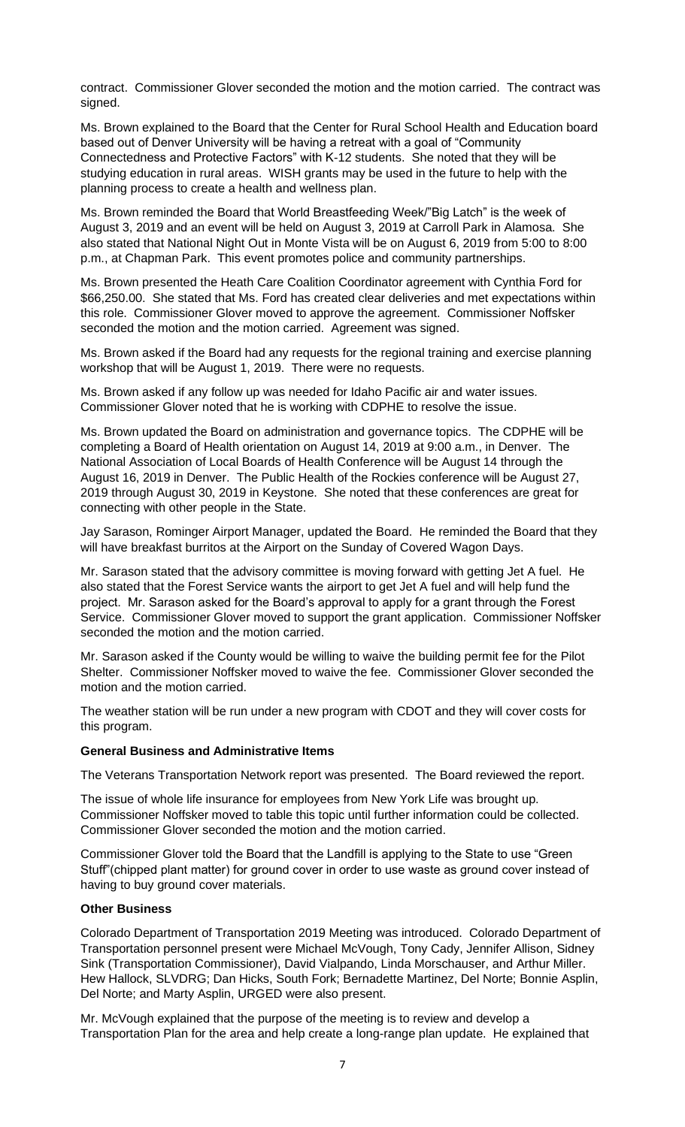contract. Commissioner Glover seconded the motion and the motion carried. The contract was signed.

Ms. Brown explained to the Board that the Center for Rural School Health and Education board based out of Denver University will be having a retreat with a goal of "Community Connectedness and Protective Factors" with K-12 students. She noted that they will be studying education in rural areas. WISH grants may be used in the future to help with the planning process to create a health and wellness plan.

Ms. Brown reminded the Board that World Breastfeeding Week/"Big Latch" is the week of August 3, 2019 and an event will be held on August 3, 2019 at Carroll Park in Alamosa. She also stated that National Night Out in Monte Vista will be on August 6, 2019 from 5:00 to 8:00 p.m., at Chapman Park. This event promotes police and community partnerships.

Ms. Brown presented the Heath Care Coalition Coordinator agreement with Cynthia Ford for \$66,250.00. She stated that Ms. Ford has created clear deliveries and met expectations within this role. Commissioner Glover moved to approve the agreement. Commissioner Noffsker seconded the motion and the motion carried. Agreement was signed.

Ms. Brown asked if the Board had any requests for the regional training and exercise planning workshop that will be August 1, 2019. There were no requests.

Ms. Brown asked if any follow up was needed for Idaho Pacific air and water issues. Commissioner Glover noted that he is working with CDPHE to resolve the issue.

Ms. Brown updated the Board on administration and governance topics. The CDPHE will be completing a Board of Health orientation on August 14, 2019 at 9:00 a.m., in Denver. The National Association of Local Boards of Health Conference will be August 14 through the August 16, 2019 in Denver. The Public Health of the Rockies conference will be August 27, 2019 through August 30, 2019 in Keystone. She noted that these conferences are great for connecting with other people in the State.

Jay Sarason, Rominger Airport Manager, updated the Board. He reminded the Board that they will have breakfast burritos at the Airport on the Sunday of Covered Wagon Days.

Mr. Sarason stated that the advisory committee is moving forward with getting Jet A fuel. He also stated that the Forest Service wants the airport to get Jet A fuel and will help fund the project. Mr. Sarason asked for the Board's approval to apply for a grant through the Forest Service. Commissioner Glover moved to support the grant application. Commissioner Noffsker seconded the motion and the motion carried.

Mr. Sarason asked if the County would be willing to waive the building permit fee for the Pilot Shelter. Commissioner Noffsker moved to waive the fee. Commissioner Glover seconded the motion and the motion carried.

The weather station will be run under a new program with CDOT and they will cover costs for this program.

#### **General Business and Administrative Items**

The Veterans Transportation Network report was presented. The Board reviewed the report.

The issue of whole life insurance for employees from New York Life was brought up. Commissioner Noffsker moved to table this topic until further information could be collected. Commissioner Glover seconded the motion and the motion carried.

Commissioner Glover told the Board that the Landfill is applying to the State to use "Green Stuff"(chipped plant matter) for ground cover in order to use waste as ground cover instead of having to buy ground cover materials.

#### **Other Business**

Colorado Department of Transportation 2019 Meeting was introduced. Colorado Department of Transportation personnel present were Michael McVough, Tony Cady, Jennifer Allison, Sidney Sink (Transportation Commissioner), David Vialpando, Linda Morschauser, and Arthur Miller. Hew Hallock, SLVDRG; Dan Hicks, South Fork; Bernadette Martinez, Del Norte; Bonnie Asplin, Del Norte; and Marty Asplin, URGED were also present.

Mr. McVough explained that the purpose of the meeting is to review and develop a Transportation Plan for the area and help create a long-range plan update. He explained that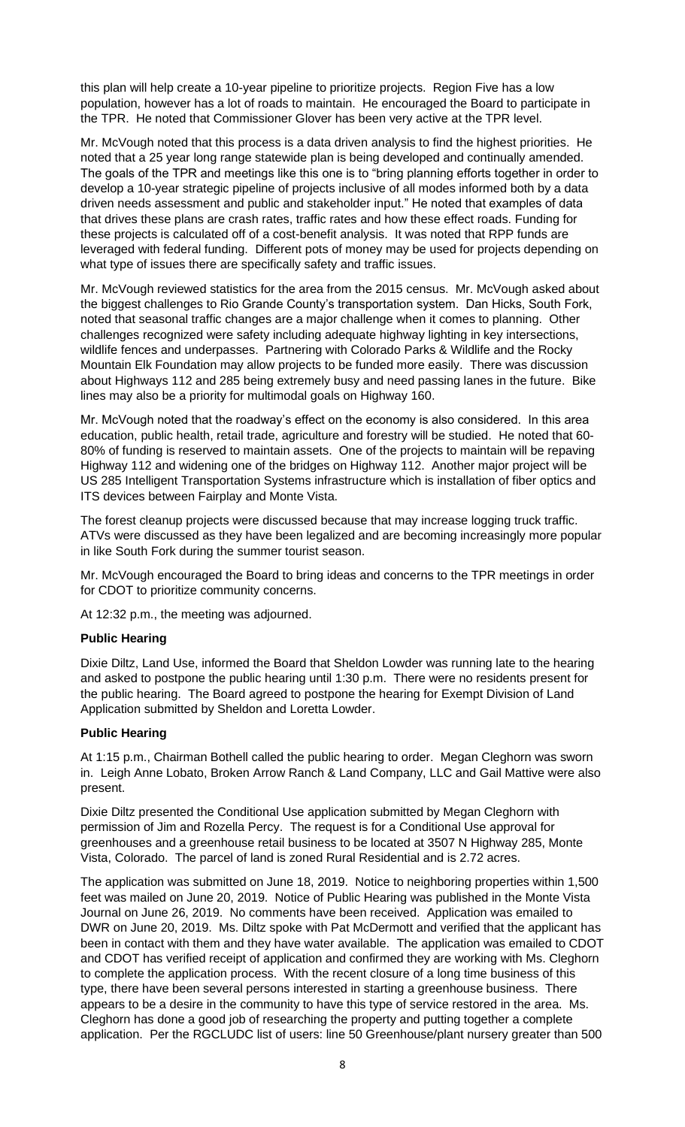this plan will help create a 10-year pipeline to prioritize projects. Region Five has a low population, however has a lot of roads to maintain. He encouraged the Board to participate in the TPR. He noted that Commissioner Glover has been very active at the TPR level.

Mr. McVough noted that this process is a data driven analysis to find the highest priorities. He noted that a 25 year long range statewide plan is being developed and continually amended. The goals of the TPR and meetings like this one is to "bring planning efforts together in order to develop a 10-year strategic pipeline of projects inclusive of all modes informed both by a data driven needs assessment and public and stakeholder input." He noted that examples of data that drives these plans are crash rates, traffic rates and how these effect roads. Funding for these projects is calculated off of a cost-benefit analysis. It was noted that RPP funds are leveraged with federal funding. Different pots of money may be used for projects depending on what type of issues there are specifically safety and traffic issues.

Mr. McVough reviewed statistics for the area from the 2015 census. Mr. McVough asked about the biggest challenges to Rio Grande County's transportation system. Dan Hicks, South Fork, noted that seasonal traffic changes are a major challenge when it comes to planning. Other challenges recognized were safety including adequate highway lighting in key intersections, wildlife fences and underpasses. Partnering with Colorado Parks & Wildlife and the Rocky Mountain Elk Foundation may allow projects to be funded more easily. There was discussion about Highways 112 and 285 being extremely busy and need passing lanes in the future. Bike lines may also be a priority for multimodal goals on Highway 160.

Mr. McVough noted that the roadway's effect on the economy is also considered. In this area education, public health, retail trade, agriculture and forestry will be studied. He noted that 60- 80% of funding is reserved to maintain assets. One of the projects to maintain will be repaving Highway 112 and widening one of the bridges on Highway 112. Another major project will be US 285 Intelligent Transportation Systems infrastructure which is installation of fiber optics and ITS devices between Fairplay and Monte Vista.

The forest cleanup projects were discussed because that may increase logging truck traffic. ATVs were discussed as they have been legalized and are becoming increasingly more popular in like South Fork during the summer tourist season.

Mr. McVough encouraged the Board to bring ideas and concerns to the TPR meetings in order for CDOT to prioritize community concerns.

At 12:32 p.m., the meeting was adjourned.

### **Public Hearing**

Dixie Diltz, Land Use, informed the Board that Sheldon Lowder was running late to the hearing and asked to postpone the public hearing until 1:30 p.m. There were no residents present for the public hearing. The Board agreed to postpone the hearing for Exempt Division of Land Application submitted by Sheldon and Loretta Lowder.

#### **Public Hearing**

At 1:15 p.m., Chairman Bothell called the public hearing to order. Megan Cleghorn was sworn in. Leigh Anne Lobato, Broken Arrow Ranch & Land Company, LLC and Gail Mattive were also present.

Dixie Diltz presented the Conditional Use application submitted by Megan Cleghorn with permission of Jim and Rozella Percy. The request is for a Conditional Use approval for greenhouses and a greenhouse retail business to be located at 3507 N Highway 285, Monte Vista, Colorado. The parcel of land is zoned Rural Residential and is 2.72 acres.

The application was submitted on June 18, 2019. Notice to neighboring properties within 1,500 feet was mailed on June 20, 2019. Notice of Public Hearing was published in the Monte Vista Journal on June 26, 2019. No comments have been received. Application was emailed to DWR on June 20, 2019. Ms. Diltz spoke with Pat McDermott and verified that the applicant has been in contact with them and they have water available. The application was emailed to CDOT and CDOT has verified receipt of application and confirmed they are working with Ms. Cleghorn to complete the application process. With the recent closure of a long time business of this type, there have been several persons interested in starting a greenhouse business. There appears to be a desire in the community to have this type of service restored in the area. Ms. Cleghorn has done a good job of researching the property and putting together a complete application. Per the RGCLUDC list of users: line 50 Greenhouse/plant nursery greater than 500